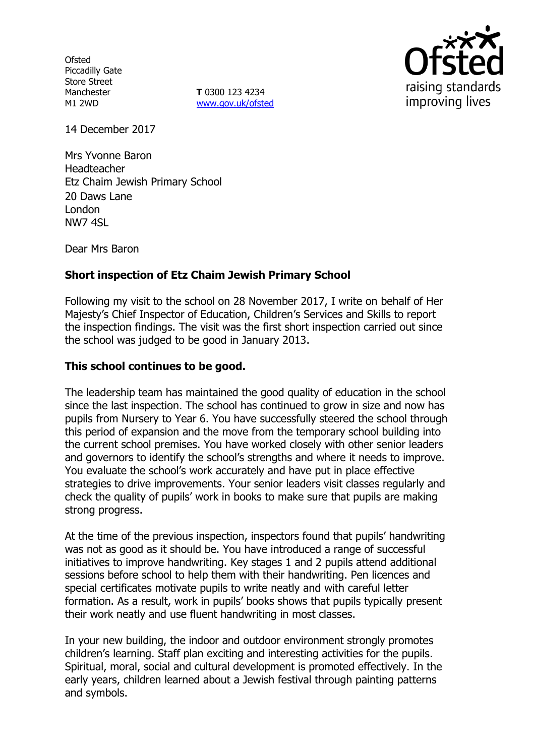**Ofsted** Piccadilly Gate Store Street Manchester M1 2WD

**T** 0300 123 4234 www.gov.uk/ofsted



14 December 2017

Mrs Yvonne Baron Headteacher Etz Chaim Jewish Primary School 20 Daws Lane London NW7 4SL

Dear Mrs Baron

# **Short inspection of Etz Chaim Jewish Primary School**

Following my visit to the school on 28 November 2017, I write on behalf of Her Majesty's Chief Inspector of Education, Children's Services and Skills to report the inspection findings. The visit was the first short inspection carried out since the school was judged to be good in January 2013.

## **This school continues to be good.**

The leadership team has maintained the good quality of education in the school since the last inspection. The school has continued to grow in size and now has pupils from Nursery to Year 6. You have successfully steered the school through this period of expansion and the move from the temporary school building into the current school premises. You have worked closely with other senior leaders and governors to identify the school's strengths and where it needs to improve. You evaluate the school's work accurately and have put in place effective strategies to drive improvements. Your senior leaders visit classes regularly and check the quality of pupils' work in books to make sure that pupils are making strong progress.

At the time of the previous inspection, inspectors found that pupils' handwriting was not as good as it should be. You have introduced a range of successful initiatives to improve handwriting. Key stages 1 and 2 pupils attend additional sessions before school to help them with their handwriting. Pen licences and special certificates motivate pupils to write neatly and with careful letter formation. As a result, work in pupils' books shows that pupils typically present their work neatly and use fluent handwriting in most classes.

In your new building, the indoor and outdoor environment strongly promotes children's learning. Staff plan exciting and interesting activities for the pupils. Spiritual, moral, social and cultural development is promoted effectively. In the early years, children learned about a Jewish festival through painting patterns and symbols.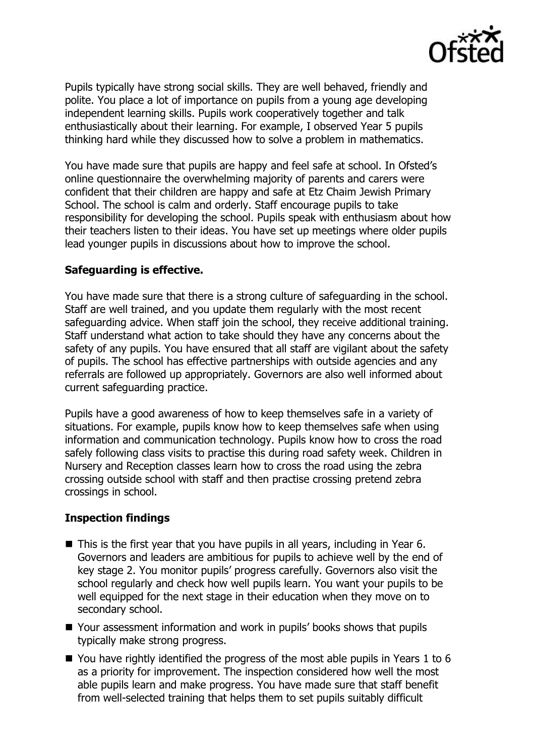

Pupils typically have strong social skills. They are well behaved, friendly and polite. You place a lot of importance on pupils from a young age developing independent learning skills. Pupils work cooperatively together and talk enthusiastically about their learning. For example, I observed Year 5 pupils thinking hard while they discussed how to solve a problem in mathematics.

You have made sure that pupils are happy and feel safe at school. In Ofsted's online questionnaire the overwhelming majority of parents and carers were confident that their children are happy and safe at Etz Chaim Jewish Primary School. The school is calm and orderly. Staff encourage pupils to take responsibility for developing the school. Pupils speak with enthusiasm about how their teachers listen to their ideas. You have set up meetings where older pupils lead younger pupils in discussions about how to improve the school.

## **Safeguarding is effective.**

You have made sure that there is a strong culture of safeguarding in the school. Staff are well trained, and you update them regularly with the most recent safeguarding advice. When staff join the school, they receive additional training. Staff understand what action to take should they have any concerns about the safety of any pupils. You have ensured that all staff are vigilant about the safety of pupils. The school has effective partnerships with outside agencies and any referrals are followed up appropriately. Governors are also well informed about current safeguarding practice.

Pupils have a good awareness of how to keep themselves safe in a variety of situations. For example, pupils know how to keep themselves safe when using information and communication technology. Pupils know how to cross the road safely following class visits to practise this during road safety week. Children in Nursery and Reception classes learn how to cross the road using the zebra crossing outside school with staff and then practise crossing pretend zebra crossings in school.

# **Inspection findings**

- This is the first year that you have pupils in all years, including in Year 6. Governors and leaders are ambitious for pupils to achieve well by the end of key stage 2. You monitor pupils' progress carefully. Governors also visit the school regularly and check how well pupils learn. You want your pupils to be well equipped for the next stage in their education when they move on to secondary school.
- Your assessment information and work in pupils' books shows that pupils typically make strong progress.
- $\blacksquare$  You have rightly identified the progress of the most able pupils in Years 1 to 6 as a priority for improvement. The inspection considered how well the most able pupils learn and make progress. You have made sure that staff benefit from well-selected training that helps them to set pupils suitably difficult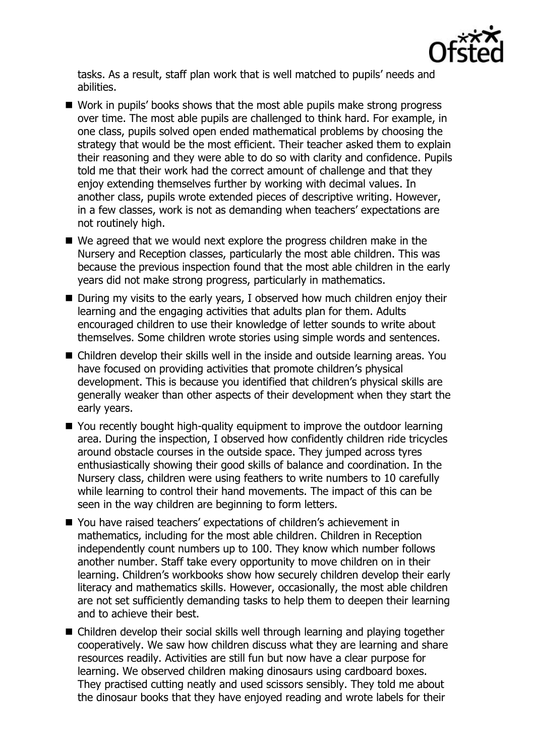

tasks. As a result, staff plan work that is well matched to pupils' needs and abilities.

- Work in pupils' books shows that the most able pupils make strong progress over time. The most able pupils are challenged to think hard. For example, in one class, pupils solved open ended mathematical problems by choosing the strategy that would be the most efficient. Their teacher asked them to explain their reasoning and they were able to do so with clarity and confidence. Pupils told me that their work had the correct amount of challenge and that they enjoy extending themselves further by working with decimal values. In another class, pupils wrote extended pieces of descriptive writing. However, in a few classes, work is not as demanding when teachers' expectations are not routinely high.
- We agreed that we would next explore the progress children make in the Nursery and Reception classes, particularly the most able children. This was because the previous inspection found that the most able children in the early years did not make strong progress, particularly in mathematics.
- During my visits to the early years, I observed how much children enjoy their learning and the engaging activities that adults plan for them. Adults encouraged children to use their knowledge of letter sounds to write about themselves. Some children wrote stories using simple words and sentences.
- Children develop their skills well in the inside and outside learning areas. You have focused on providing activities that promote children's physical development. This is because you identified that children's physical skills are generally weaker than other aspects of their development when they start the early years.
- You recently bought high-quality equipment to improve the outdoor learning area. During the inspection, I observed how confidently children ride tricycles around obstacle courses in the outside space. They jumped across tyres enthusiastically showing their good skills of balance and coordination. In the Nursery class, children were using feathers to write numbers to 10 carefully while learning to control their hand movements. The impact of this can be seen in the way children are beginning to form letters.
- You have raised teachers' expectations of children's achievement in mathematics, including for the most able children. Children in Reception independently count numbers up to 100. They know which number follows another number. Staff take every opportunity to move children on in their learning. Children's workbooks show how securely children develop their early literacy and mathematics skills. However, occasionally, the most able children are not set sufficiently demanding tasks to help them to deepen their learning and to achieve their best.
- Children develop their social skills well through learning and playing together cooperatively. We saw how children discuss what they are learning and share resources readily. Activities are still fun but now have a clear purpose for learning. We observed children making dinosaurs using cardboard boxes. They practised cutting neatly and used scissors sensibly. They told me about the dinosaur books that they have enjoyed reading and wrote labels for their